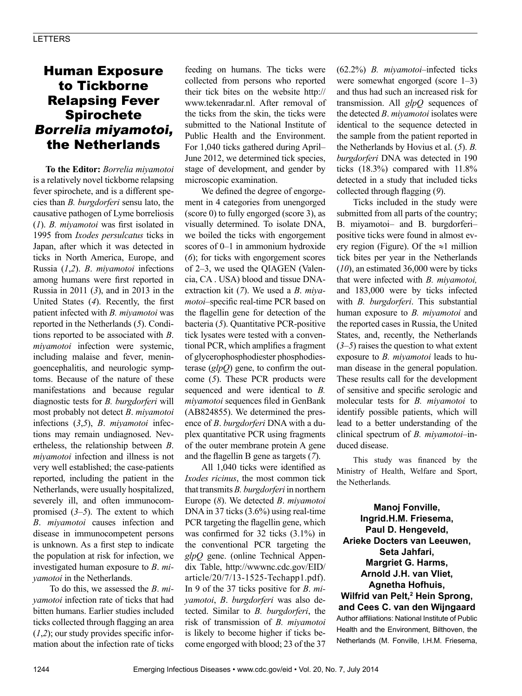## Human Exposure to Tickborne Relapsing Fever Spirochete Borrelia miyamotoi, the Netherlands

**To the Editor:** *Borrelia miyamotoi* is a relatively novel tickborne relapsing fever spirochete, and is a different species than *B. burgdorferi* sensu lato, the causative pathogen of Lyme borreliosis (*1*). *B. miyamotoi* was first isolated in 1995 from *Ixodes persulcatus* ticks in Japan, after which it was detected in ticks in North America, Europe, and Russia (*1*,*2*). *B*. *miyamotoi* infections among humans were first reported in Russia in 2011 (*3*), and in 2013 in the United States (*4*). Recently, the first patient infected with *B. miyamotoi* was reported in the Netherlands (*5*). Conditions reported to be associated with *B*. *miyamotoi* infection were systemic, including malaise and fever, meningoencephalitis, and neurologic symptoms. Because of the nature of these manifestations and because regular diagnostic tests for *B. burgdorferi* will most probably not detect *B*. *miyamotoi*  infections (*3*,*5*), *B*. *miyamotoi* infections may remain undiagnosed. Nevertheless, the relationship between *B*. *miyamotoi* infection and illness is not very well established; the case-patients reported, including the patient in the Netherlands, were usually hospitalized, severely ill, and often immunocompromised (*3*–*5*). The extent to which *B*. *miyamotoi* causes infection and disease in immunocompetent persons is unknown. As a first step to indicate the population at risk for infection, we investigated human exposure to *B*. *miyamotoi* in the Netherlands.

To do this, we assessed the *B*. *miyamotoi* infection rate of ticks that had bitten humans. Earlier studies included ticks collected through flagging an area (*1*,*2*); our study provides specific information about the infection rate of ticks feeding on humans. The ticks were collected from persons who reported their tick bites on the website http:// www.tekenradar.nl. After removal of the ticks from the skin, the ticks were submitted to the National Institute of Public Health and the Environment. For 1,040 ticks gathered during April– June 2012, we determined tick species, stage of development, and gender by microscopic examination.

We defined the degree of engorgement in 4 categories from unengorged (score 0) to fully engorged (score 3), as visually determined. To isolate DNA, we boiled the ticks with engorgement scores of 0–1 in ammonium hydroxide (*6*); for ticks with engorgement scores of 2–3, we used the QIAGEN (Valencia, CA . USA) blood and tissue DNAextraction kit (*7*). We used a *B*. *miyamotoi*–specific real-time PCR based on the flagellin gene for detection of the bacteria (*5*). Quantitative PCR-positive tick lysates were tested with a conventional PCR, which amplifies a fragment of glycerophosphodiester phosphodiesterase (*glpQ*) gene, to confirm the outcome (*5*). These PCR products were sequenced and were identical to *B. miyamotoi* sequences filed in GenBank (AB824855). We determined the presence of *B*. *burgdorferi* DNA with a duplex quantitative PCR using fragments of the outer membrane protein A gene and the flagellin B gene as targets (*7*).

All 1,040 ticks were identified as *Ixodes ricinus*, the most common tick that transmits *B. burgdorferi* in northern Europe (*8*). We detected *B*. *miyamotoi* DNA in 37 ticks (3.6%) using real-time PCR targeting the flagellin gene, which was confirmed for 32 ticks (3.1%) in the conventional PCR targeting the *glpQ* gene. (online Technical Appendix Table, http://wwwnc.cdc.gov/EID/ article/20/7/13-1525-Techapp1.pdf). In 9 of the 37 ticks positive for *B*. *miyamotoi*, *B*. *burgdorferi* was also detected. Similar to *B. burgdorferi*, the risk of transmission of *B. miyamotoi* is likely to become higher if ticks become engorged with blood; 23 of the 37 (62.2%) *B. miyamotoi*–infected ticks were somewhat engorged (score 1–3) and thus had such an increased risk for transmission. All *glpQ* sequences of the detected *B*. *miyamotoi* isolates were identical to the sequence detected in the sample from the patient reported in the Netherlands by Hovius et al. (*5*). *B. burgdorferi* DNA was detected in 190 ticks (18.3%) compared with 11.8% detected in a study that included ticks collected through flagging (*9*).

Ticks included in the study were submitted from all parts of the country; B. miyamotoi– and B. burgdorferi– positive ticks were found in almost every region (Figure). Of the  $\approx$ 1 million tick bites per year in the Netherlands (*10*), an estimated 36,000 were by ticks that were infected with *B. miyamotoi,* and 183,000 were by ticks infected with *B. burgdorferi*. This substantial human exposure to *B. miyamotoi* and the reported cases in Russia, the United States, and, recently, the Netherlands (*3*–*5*) raises the question to what extent exposure to *B. miyamotoi* leads to human disease in the general population. These results call for the development of sensitive and specific serologic and molecular tests for *B. miyamotoi* to identify possible patients, which will lead to a better understanding of the clinical spectrum of *B. miyamotoi*–induced disease.

This study was financed by the Ministry of Health, Welfare and Sport, the Netherlands.

**Manoj Fonville, Ingrid.H.M. Friesema, Paul D. Hengeveld, Arieke Docters van Leeuwen, Seta Jahfari, Margriet G. Harms, Arnold J.H. van Vliet, Agnetha Hofhuis, Wilfrid van Pelt,2 Hein Sprong, and Cees C. van den Wijngaard** Author affiliations: National Institute of Public Health and the Environment, Bilthoven, the Netherlands (M. Fonville, I.H.M. Friesema,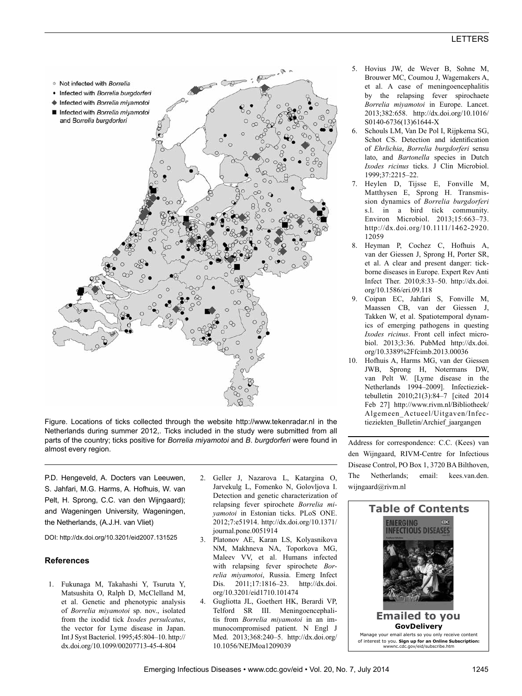

Figure. Locations of ticks collected through the website http://www.tekenradar.nl in the Netherlands during summer 2012,. Ticks included in the study were submitted from all parts of the country; ticks positive for *Borrelia miyamotoi* and *B*. *burgdorferi* were found in almost every region.

P.D. Hengeveld, A. Docters van Leeuwen, S. Jahfari, M.G. Harms, A. Hofhuis, W. van Pelt, H. Sprong, C.C. van den Wijngaard); and Wageningen University, Wageningen, the Netherlands, (A.J.H. van Vliet)

DOI: http://dx.doi.org/10.3201/eid2007.131525

## **References**

- 1. Fukunaga M, Takahashi Y, Tsuruta Y, Matsushita O, Ralph D, McClelland M, et al. Genetic and phenotypic analysis of *Borrelia miyamotoi* sp. nov., isolated from the ixodid tick *Ixodes persulcatus*, the vector for Lyme disease in Japan. Int J Syst Bacteriol. 1995;45:804–10. http:// dx.doi.org/10.1099/00207713-45-4-804
- 2. Geller J, Nazarova L, Katargina O, Jarvekulg L, Fomenko N, Golovljova I. Detection and genetic characterization of relapsing fever spirochete *Borrelia miyamotoi* in Estonian ticks. PLoS ONE. 2012;7:e51914. http://dx.doi.org/10.1371/ journal.pone.0051914
- 3. Platonov AE, Karan LS, Kolyasnikova NM, Makhneva NA, Toporkova MG, Maleev VV, et al. Humans infected with relapsing fever spirochete *Borrelia miyamotoi*, Russia. Emerg Infect Dis. 2011;17:1816–23. http://dx.doi. org/10.3201/eid1710.101474
- 4. Gugliotta JL, Goethert HK, Berardi VP, Telford SR III. Meningoencephalitis from *Borrelia miyamotoi* in an immunocompromised patient. N Engl J Med. 2013;368:240–5. http://dx.doi.org/ 10.1056/NEJMoa1209039
- 5. Hovius JW, de Wever B, Sohne M, Brouwer MC, Coumou J, Wagemakers A, et al. A case of meningoencephalitis by the relapsing fever spirochaete *Borrelia miyamotoi* in Europe. Lancet. 2013;382:658. http://dx.doi.org/10.1016/ S0140-6736(13)61644-X
- 6. Schouls LM, Van De Pol I, Rijpkema SG, Schot CS. Detection and identification of *Ehrlichia*, *Borrelia burgdorferi* sensu lato, and *Bartonella* species in Dutch *Ixodes ricinus* ticks. J Clin Microbiol. 1999;37:2215–22.
- 7. Heylen D, Tijsse E, Fonville M, Matthysen E, Sprong H. Transmission dynamics of *Borrelia burgdorferi* s.l. in a bird tick community. Environ Microbiol. 2013;15:663–73. http://dx.doi.org/10.1111/1462-2920. 12059
- 8. Heyman P, Cochez C, Hofhuis A, van der Giessen J, Sprong H, Porter SR, et al. A clear and present danger: tickborne diseases in Europe. Expert Rev Anti Infect Ther. 2010;8:33–50. http://dx.doi. org/10.1586/eri.09.118
- 9. Coipan EC, Jahfari S, Fonville M, Maassen CB, van der Giessen J, Takken W, et al. Spatiotemporal dynamics of emerging pathogens in questing *Ixodes ricinus*. Front cell infect microbiol. 2013;3:36. PubMed http://dx.doi. org/10.3389%2Ffcimb.2013.00036
- 10. Hofhuis A, Harms MG, van der Giessen JWB, Sprong H, Notermans DW, van Pelt W. [Lyme disease in the Netherlands 1994–2009]. Infectieziektebulletin 2010;21(3):84–7 [cited 2014 Feb 27] http://www.rivm.nl/Bibliotheek/ Algemeen\_Actueel/Uitgaven/Infectieziekten\_Bulletin/Archief\_jaargangen

Address for correspondence: C.C. (Kees) van den Wijngaard, RIVM-Centre for Infectious Disease Control, PO Box 1, 3720 BA Bilthoven, The Netherlands; email: kees.van.den. wijngaard@rivm.nl